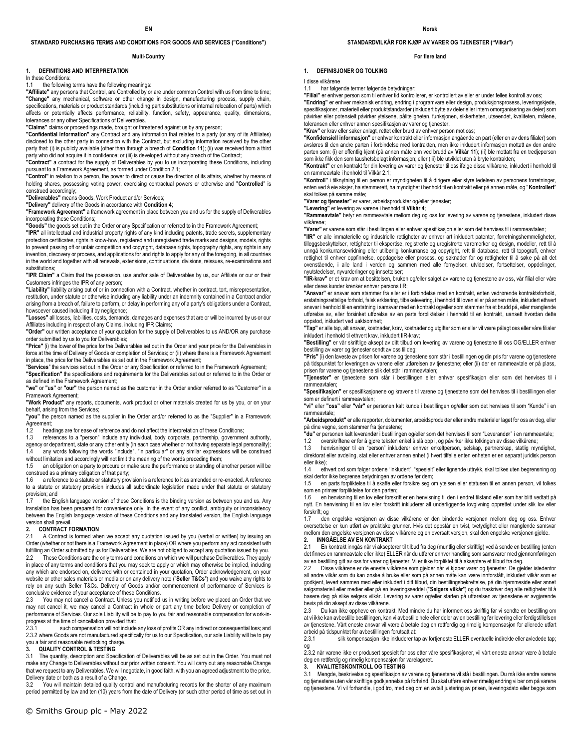## **STANDARD PURCHASING TERMS AND CONDITIONS FOR GOODS AND SERVICES ("Conditions")**

#### **Multi-Country**

### **1. DEFINITIONS AND INTERPRETATION**

In these Conditions:

### the following terms have the following meanings:

**"Affiliate"** any persons that Control, are Controlled by or are under common Control with us from time to time; **"Change"** any mechanical, software or other change in design, manufacturing process, supply chain, specifications, materials or product standards (including part substitutions or internal relocation of parts) which affects or potentially affects performance, reliability, function, safety, appearance, quality, dimensions, tolerances or any other Specifications of Deliverables.

**"Claims"** claims or proceedings made, brought or threatened against us by any person;

**"Confidential Information"** any Contract and any information that relates to a party (or any of its Affiliates) disclosed to the other party in connection with the Contract, but excluding information received by the other party that: (i) is publicly available (other than through a breach of **Condition 11**); (ii) was received from a third party who did not acquire it in confidence; or (iii) is developed without any breach of the Contract;

**"Contract"** a contract for the supply of Deliverables by you to us incorporating these Conditions, including pursuant to a Framework Agreement, as formed under Condition 2.1;

**"Control"** in relation to a person, the power to direct or cause the direction of its affairs, whether by means of holding shares, possessing voting power, exercising contractual powers or otherwise and "**Controlled**" is construed accordingly;

**"Deliverables"** means Goods, Work Product and/or Services;

**"Delivery"** delivery of the Goods in accordance with **Condition 4**;

**"Framework Agreement"** a framework agreement in place between you and us for the supply of Deliverables incorporating these Conditions;

**"Goods"** the goods set out in the Order or any Specification or referred to in the Framework Agreement;

**"IPR"** all intellectual and industrial property rights of any kind including patents, trade secrets, supplementary protection certificates, rights in know-how, registered and unregistered trade marks and designs, models, rights to prevent passing off or unfair competition and copyright, database rights, topography rights, any rights in any invention, discovery or process, and applications for and rights to apply for any of the foregoing, in all countries in the world and together with all renewals, extensions, continuations, divisions, reissues, re-examinations and substitutions:

**"IPR Claim"** a Claim that the possession, use and/or sale of Deliverables by us, our Affiliate or our or their Customers infringes the IPR of any person;

**"Liability"** liability arising out of or in connection with a Contract, whether in contract, tort, misrepresentation, restitution, under statute or otherwise including any liability under an indemnity contained in a Contract and/or arising from a breach of, failure to perform, or delay in performing any of a party's obligations under a Contract, howsoever caused including if by negligence:

**"Losses"** all losses, liabilities, costs, demands, damages and expenses that are or will be incurred by us or our Affiliates including in respect of any Claims, including IPR Claims;

**"Order"** our written acceptance of your quotation for the supply of Deliverables to us AND/OR any purchase order submitted by us to you for Deliverables;

**"Price"** (i) the lower of the price for the Deliverables set out in the Order and your price for the Deliverables in force at the time of Delivery of Goods or completion of Services; or (ii) where there is a Framework Agreement in place, the price for the Deliverables as set out in the Framework Agreement;

"**Services**" the services set out in the Order or any Specification or referred to in the Framework Agreement; **"Specification"** the specifications and requirements for the Deliverables set out or referred to in the Order or

as defined in the Framework Agreement; **"we"** or **"us"** or **"our"** the person named as the customer in the Order and/or referred to as "Customer" in a

Framework Agreement; **"Work Product"** any reports, documents, work product or other materials created for us by you, or on your behalf, arising from the Services;

**"you"** the person named as the supplier in the Order and/or referred to as the "Supplier" in a Framework Agreement;

1.2 headings are for ease of reference and do not affect the interpretation of these Conditions;

1.3 references to a "person" include any individual, body corporate, partnership, government authority, agency or department, state or any other entity (in each case whether or not having separate legal personality); any words following the words "include", "in particular" or any similar expressions will be construed

without limitation and accordingly will not limit the meaning of the words preceding them; 1.5 an obligation on a party to procure or make sure the performance or standing of another person will be

construed as a primary obligation of that party; 1.6 a reference to a statute or statutory provision is a reference to it as amended or re-enacted. A reference

to a statute or statutory provision includes all subordinate legislation made under that statute or statutory provision; and

1.7 the English language version of these Conditions is the binding version as between you and us. Any translation has been prepared for convenience only. In the event of any conflict, ambiguity or inconsistency between the English language version of these Conditions and any translated version, the English language version shall prevail.<br>2. **CONTRACT F** 

## **2. CONTRACT FORMATION**

2.1 A Contract is formed when we accept any quotation issued by you (verbal or written) by issuing an Order (whether or not there is a Framework Agreement in place) OR where you perform any act consistent with fulfilling an Order submitted by us for Deliverables. We are not obliged to accept any quotation issued by you.

2.2 These Conditions are the only terms and conditions on which we will purchase Deliverables. They apply in place of any terms and conditions that you may seek to apply or which may otherwise be implied, including any which are endorsed on, delivered with or contained in your quotation, Order acknowledgement, on your website or other sales materials or media or on any delivery note ("**Seller T&Cs**") and you waive any rights to rely on any such Seller T&Cs. Delivery of Goods and/or commencement of performance of Services is conclusive evidence of your acceptance of these Conditions.

2.3 You may not cancel a Contract. Unless you notified us in writing before we placed an Order that we may not cancel it, we may cancel a Contract in whole or part any time before Delivery or completion of performance of Services. Our sole Liability will be to pay to you fair and reasonable compensation for work-inprogress at the time of cancellation provided that:<br>2.3.1 such compensation will not include

such compensation will not include any loss of profits OR any indirect or consequential loss; and 2.3.2 where Goods are not manufactured specifically for us to our Specification, our sole Liability will be to pay you a fair and reasonable restocking charge.

# **3. QUALITY CONTROL & TESTING**<br>**3.1** The quantity description and Spec

The quantity, description and Specification of Deliverables will be as set out in the Order. You must not make any Change to Deliverables without our prior written consent. You will carry out any reasonable Change that we request to any Deliverables. We will negotiate, in good faith, with you an agreed adjustment to the price, Delivery date or both as a result of a Change.

.<br>You will maintain detailed quality control and manufacturing records for the shorter of any maximum period permitted by law and ten (10) years from the date of Delivery (or such other period of time as set out in

## **STANDARDVILKÅR FOR KJØP AV VARER OG TJENESTER ("Vilkår")**

#### **For flere land**

### **1. DEFINISJONER OG TOLKING**

I disse vilkårene

1.1 har følgende termer følgende betydninger:

**"Filial"** er enhver person som til enhver tid kontrollerer, er kontrollert av eller er under felles kontroll av oss; **"Endring"** er enhver mekanisk endring, endring i programvare eller design, produksjonsprosess, leveringskjede, spesifikasjoner, materiell eller produktstandarder (inkludert bytte av deler eller intern omorganisering av deler) som påvirker eller potensielt påvirker ytelsene, påliteligheten, funksjonen, sikkerheten, utseendet, kvaliteten, målene, toleransen eller enhver annen spesifikasjon av varer og tjenester.

**"Krav"** er krav eller saker anlagt, rettet eller brukt av enhver person mot oss;

**"Konfidensiell informasjon"** er enhver kontrakt eller informasjon angående en part (eller en av dens filialer) som avsløres til den andre parten i forbindelse med kontrakten, men ikke inkludert informasjon mottatt av den andre parten som: (i) er offentlig kjent (på annen måte enn ved brudd av **Vilkår 11**); (ii) ble mottatt fra en tredjeperson som ikke fikk den som taushetsbelagt informasjon; eller (iii) ble utviklet uten å bryte kontrakten;

**"Kontrakt"** er en kontrakt for din levering av varer og tjenester til oss ifølge disse vilkårene, inkludert i henhold til en rammeavtale i henhold til Vilkår 2.1;

**"Kontroll"** i tilknytning til en person er myndigheten til å dirigere eller styre ledelsen av personens forretninger, enten ved å eie aksjer, ha stemmerett, ha myndighet i henhold til en kontrakt eller på annen måte, og "**Kontrollert**" skal tolkes på samme måte;

**"Varer og tjenester"** er varer, arbeidsprodukter og/eller tjenester;

**"Levering"** er levering av varene i henhold til **Vilkår 4**;

**"Rammeavtale"** betyr en rammeavtale mellom deg og oss for levering av varene og tjenestene, inkludert disse vilkårene;

**"Varer"** er varene som står i bestillingen eller enhver spesifikasjon eller som det henvises til i rammeavtalen;

**"IIR"** er alle immaterielle og industrielle rettigheter av enhver art inkludert patenter, forretningshemmeligheter, tilleggsbeskyttelser, rettigheter til ekspertise, registrerte og uregistrerte varemerker og design, modeller, rett til å unngå konkurransevridning eller utilbørlig konkurranse og copyright, rett til database, rett til topografi, enhver<br>rettighet til enhver oppfinnelse, oppdagelse eller prosess, og søknader for og rettigheter til å søke på al ovenstående, i alle land i verden og sammen med alle fornyelser, utvidelser, fortsettelser, oppdelinger, nyutstedelser, nyvurderinger og innsettelser;

**"IIR-krav"** er et krav om at besittelsen, bruken og/eller salget av varene og tjenestene av oss, vår filial eller våre eller deres kunder krenker enhver persons IIR;

**"Ansvar"** er ansvar som stammer fra eller er i forbindelse med en kontrakt, enten vedrørende kontraktsforhold, erstatningsrettslige forhold, falsk erklæring, tilbakelevering, i henhold til loven eller på annen måte, inkludert ethvert ansvar i henhold til en erstatning i samsvar med en kontrakt og/eller som stammer fra et brudd på, eller manglende utførelse av, eller forsinket utførelse av en parts forpliktelser i henhold til en kontrakt, uansett hvordan dette oppstod, inkludert ved uaktsomhet;

**"Tap"** er alle tap, alt ansvar, kostnader, krav, kostnader og utgifter som er eller vil være pålagt oss eller våre filialer inkludert i henhold til ethvert krav, inkludert IIR-krav;

**"Bestilling"** er vår skriftlige aksept av ditt tilbud om levering av varene og tjenestene til oss OG/ELLER enhver bestilling av varer og tjenester sendt av oss til deg;

**"Pris"** (i) den laveste av prisen for varene og tjenestene som står i bestillingen og din pris for varene og tjenestene på tidspunktet for leveringen av varene eller utførelsen av tjenestene; eller (ii) der en rammeavtale er på plass,

prisen for varene og tjenestene slik det står i rammeavtalen;<br>**"Tjenester"** er tjenestene som står i bestillingen eller enhver spesifikasjon eller som det henvises til i rammeavtalen;

**"Spesifikasjon"** er spesifikasjonene og kravene til varene og tjenestene som det henvises til i bestillingen eller som er definert i rammeavtalen;

**"vi"** eller **"oss"** eller **"vår"** er personen kalt kunde i bestillingen og/eller som det henvises til som "Kunde" i en rammeavtale;

**"Arbeidsprodukt"** er alle rapporter, dokumenter, arbeidsprodukter eller andre materialer laget for oss av deg, eller på dine vegne, som stammer fra tjenestene;

**"du"** er personen kalt leverandør i bestillingen og/eller som det henvises til som "Leverandør" i en rammeavtale;

1.2 overskriftene er for å gjøre teksten enkel å slå opp i, og påvirker ikke tolkingen av disse vilkårene;

1.3 henvisninger til en "person" inkluderer enhver enkeltperson, selskap, partnerskap, statlig myndighet, direktorat eller avdeling, stat eller enhver annen enhet (i hvert tilfelle enten enheten er en separat juridisk person eller ikke);<br>1.4 eth

1.4 ethvert ord som følger ordene "inkludert", "spesielt" eller lignende uttrykk, skal tolkes uten begrensning og skal derfor ikke begrense betydningen av ordene før dem;

1.5 en parts forpliktelse til å skaffe eller forsikre seg om ytelsen eller statusen til en annen person, vil tolkes som en primær forpliktelse for den parten;

1.6 — en henvisning til en lov eller forskrift er en henvisning til den i endret tilstand eller som har blitt vedtatt på<br>nytt. En henvisning til en lov eller forskrift inkluderer all underliggende lovgivning opprettet unde forskrift; og

1.7 den engelske versjonen av disse vilkårene er den bindende versjonen mellom deg og oss. Enhver oversettelse er kun utført av praktiske grunner. Hvis det oppstår en tvist, tvetydighet eller manglende samsvar mellom den engelske versjonen av disse vilkårene og en oversatt versjon, skal den engelske versjonen gjelde. **2. INNGÅELSE AV EN KONTRAKT**

2.1 En kontrakt inngås når vi aksepterer til tilbud fra deg (muntlig eller skriftlig) ved å sende en bestilling (enten det finnes en rammeavtale eller ikke) ELLER når du utfører enhver handling som samsvarer med gjennomføringen av en bestilling gitt av oss for varer og tjenester. Vi er ikke forpliktet til å akseptere et tilbud fra deg.

2.2 Disse vilkårene er de eneste vilkårene som gjelder når vi kjøper varer og tjenester. De gjelder istedenfor all andre vilkår som du kan ønske å bruke eller som på annen måte kan være innforstått, inkludert vilkår som er godkjent, levert sammen med eller inkludert i ditt tilbud, din bestillingsbekreftelse, på din hjemmeside eller annet salgsmateriell eller medier eller på en leveringsseddel ("**Selgers vilkår**") og du fraskriver deg alle rettigheter til å basere deg på slike selgers vilkår. Levering av varer og/eller starten på utførelsen av tjenestene er avgjørende bevis på din aksept av disse vilkårene.

2.3 Du kan ikke oppheve en kontrakt. Med mindre du har informert oss skriftlig før vi sendte en bestilling om at vi ikke kan avbestille bestillingen, kan vi avbestille hele eller deler av en bestilling før levering eller ferdigstillelsen av tjenestene. Vårt eneste ansvar vil være å betale deg en rettferdig og rimelig kompensasjon for allerede utført arbeid på tidspunktet for avbestillingen forutsatt at:

slik kompensasjon ikke inkluderer tap av fortjeneste ELLER eventuelle indirekte eller avledede tap;

og<br>2.3.2 når varene ikke er produsert spesielt for oss etter våre spesifikasjoner, vil vårt eneste ansvar være å betale deg en rettferdig og rimelig kompensasjon for varelageret.<br>
3. KVALITETSKONTROLL OG TESTING

**3. KVALITETSKONTROLL OG TESTING**

3.1 Mengde, beskrivelse og spesifikasjon av varene og tjenestene vil stå i bestillingen. Du må ikke endre varene og tjenestene uten vår skriftlige godkjennelse på forhånd. Du skal utføre enhver rimelig endring vi ber om på varene og tjenestene. Vi vil forhandle, i god tro, med deg om en avtalt justering av prisen, leveringsdato eller begge som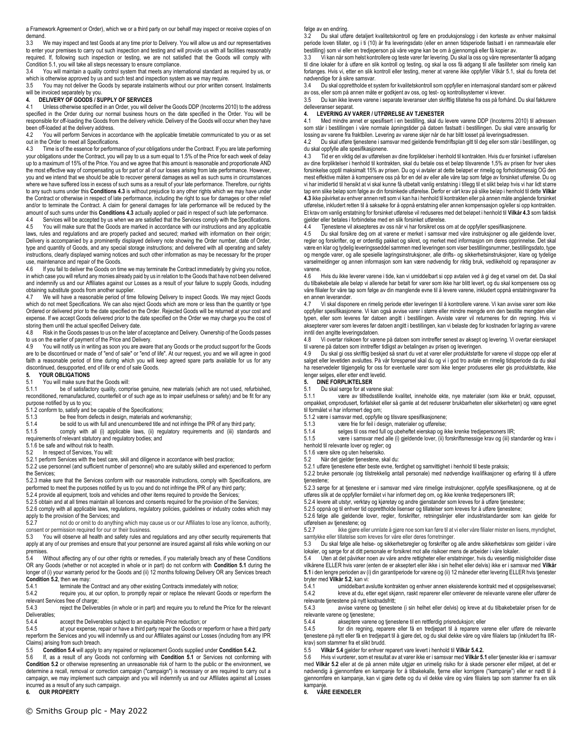a Framework Agreement or Order), which we or a third party on our behalf may inspect or receive copies of on demand.

3.3 We may inspect and test Goods at any time prior to Delivery. You will allow us and our representatives to enter your premises to carry out such inspection and testing and will provide us with all facilities reasonably required. If, following such inspection or testing, we are not satisfied that the Goods will comply with Condition 5.1, you will take all steps necessary to ensure compliance.

3.4 You will maintain a quality control system that meets any international standard as required by us, or which is otherwise approved by us and such test and inspection system as we may require.

3.5 You may not deliver the Goods by separate instalments without our prior written consent. Instalments will be invoiced separately by you.

# **4. DELIVERY OF GOODS / SUPPLY OF SERVICES**

Unless otherwise specified in an Order, you will deliver the Goods DDP (Incoterms 2010) to the address specified in the Order during our normal business hours on the date specified in the Order. You will be responsible for off-loading the Goods from the delivery vehicle. Delivery of the Goods will occur when they have been off-loaded at the delivery address.<br>4.2 You will perform Services in acc

You will perform Services in accordance with the applicable timetable communicated to you or as set out in the Order to meet all Specifications.

4.3 Time is of the essence for performance of your obligations under the Contract. If you are late performing your obligations under the Contract, you will pay to us a sum equal to 1.5% of the Price for each week of delay up to a maximum of 15% of the Price. You and we agree that this amount is reasonable and proportionate AND the most effective way of compensating us for part or all of our losses arising from late performance. However, you and we intend that we should be able to recover general damages as well as such sums in circumstances where we have suffered loss in excess of such sums as a result of your late performance. Therefore, our rights to any such sums under this **Conditions 4.3** is without prejudice to any other rights which we may have under the Contract or otherwise in respect of late performance, including the right to sue for damages or other relief and/or to terminate the Contract. A claim for general damages for late performance will be reduced by the amount of such sums under this **Conditions 4.3** actually applied or paid in respect of such late performance.

4.4 Services will be accepted by us when we are satisfied that the Services comply with the Specifications.<br>4.5 You will make sure that the Goods are marked in accordance with our instructions and any applicable You will make sure that the Goods are marked in accordance with our instructions and any applicable laws, rules and regulations and are properly packed and secured; marked with information on their origin; Delivery is accompanied by a prominently displayed delivery note showing the Order number, date of Order, type and quantity of Goods, and any special storage instructions; and delivered with all operating and safety

instructions, clearly displayed warning notices and such other information as may be necessary for the proper use, maintenance and repair of the Goods.<br>4.6 If you fail to deliver the Goods on tin

If you fail to deliver the Goods on time we may terminate the Contract immediately by giving you notice, in which case you will refund any monies already paid by us in relation to the Goods that have not been delivered and indemnify us and our Affiliates against our Losses as a result of your failure to supply Goods, including obtaining substitute goods from another supplier.

We will have a reasonable period of time following Delivery to inspect Goods. We may reject Goods which do not meet Specifications. We can also reject Goods which are more or less than the quantity or type Ordered or delivered prior to the date specified on the Order. Rejected Goods will be returned at your cost and expense. If we accept Goods delivered prior to the date specified on the Order we may charge you the cost of storing them until the actual specified Delivery date.

4.8 Risk in the Goods passes to us on the later of acceptance and Delivery. Ownership of the Goods passes to us on the earlier of payment of the Price and Delivery.<br>4.9 You will notify us in writing as soon you are aware

You will notify us in writing as soon you are aware that any Goods or the product support for the Goods are to be discontinued or made of "end of sale" or "end of life". At our request, you and we will agree in good faith a reasonable period of time during which you will keep agreed spare parts available for us for any discontinued, desupported, end of life or end of sale Goods.

# **5. YOUR OBLIGATIONS**

# 5.1 You will make sure that the Goods will:<br>5.1.1 be of satisfactory quality comp

be of satisfactory quality, comprise genuine, new materials (which are not used, refurbished, reconditioned, remanufactured, counterfeit or of such age as to impair usefulness or safety) and be fit for any purpose notified by us to you;

5.1.2 conform to, satisfy and be capable of the Specifications;<br>5.1.3 be free from defects in design. materials and w

- be free from defects in design, materials and workmanship;
- 5.1.4 be sold to us with full and unencumbered title and not infringe the IPR of any third party;<br>5.1.5 comply with all (i) applicable laws (ii) requilatory requirements and (iii) standard

comply with all (i) applicable laws, (ii) regulatory requirements and (iii) standards and

requirements of relevant statutory and regulatory bodies; and

5.1.6 be safe and without risk to health.

5.2 In respect of Services, You will:

5.2.1 perform Services with the best care, skill and diligence in accordance with best practice;

5.2.2 use personnel (and sufficient number of personnel) who are suitably skilled and experienced to perform the Services;

5.2.3 make sure that the Services conform with our reasonable instructions, comply with Specifications, are performed to meet the purposes notified by us to you and do not infringe the IPR of any third party;

5.2.4 provide all equipment, tools and vehicles and other items required to provide the Services; 5.2.5 obtain and at all times maintain all licences and consents required for the provision of the Services;

5.2.6 comply with all applicable laws, regulations, regulatory policies, guidelines or industry codes which may

apply to the provision of the Services; and<br>5.2.7 post do or omit to do anything

not do or omit to do anything which may cause us or our Affiliates to lose any licence, authority, consent or permission required for our or their business.<br>5.3 You will observe all health and safety rules and

You will observe all health and safety rules and regulations and any other security requirements that apply at any of our premises and ensure that your personnel are insured against all risks while working on our premises.

5.4 Without affecting any of our other rights or remedies, if you materially breach any of these Conditions OR any Goods (whether or not accepted in whole or in part) do not conform with **Condition 5.1** during the longer of (i) your warranty period for the Goods and (ii) 12 months following Delivery OR any Services breach **Condition 5.2**, then we may:<br>5.4.1 terminate the

5.4.1 terminate the Contract and any other existing Contracts immediately with notice;<br>5.4.2 require you, at our option, to promptly repair or replace the relevant Goods or

require you, at our option, to promptly repair or replace the relevant Goods or reperform the relevant Services free of charge;

5.4.3 reject the Deliverables (in whole or in part) and require you to refund the Price for the relevant Deliverables;<br>5.4.4

5.4.4 accept the Deliverables subject to an equitable Price reduction; or 5.4.5 at your expense, repair or have a third party repair the Goods or re

at your expense, repair or have a third party repair the Goods or reperform or have a third party reperform the Services and you will indemnify us and our Affiliates against our Losses (including from any IPR Claims) arising from such breach.<br>5.5 Condition 5.4 will annly to

5.5 **Condition 5.4** will apply to any repaired or replacement Goods supplied under **Condition 5.4.2.**

If, as a result of any Goods not conforming with **Condition 5.1** or Services not conforming with **Condition 5.2** or otherwise representing an unreasonable risk of harm to the public or the environment, we determine a recall, removal or correction campaign ("campaign") is necessary or are required to carry out a campaign, we may implement such campaign and you will indemnify us and our Affiliates against all Losses incurred as a result of any such campaign.

# **6. OUR PROPERTY**

følge av en endring.

3.2 Du skal utføre detaljert kvalitetskontroll og føre en produksjonslogg i den korteste av enhver maksimal periode loven tillater, og i ti (10) år fra leveringsdato (eller en annen tidsperiode fastsatt i en rammeavtale eller bestilling) som vi eller en tredjeperson på våre vegne kan be om å gjennomgå eller få kopier av.

Vi kan når som helst kontrollere og teste varer før levering. Du skal la oss og våre representanter få adgang til dine lokaler for å utføre en slik kontroll og testing, og skal la oss få adgang til alle fasiliteter som rimelig kan forlanges. Hvis vi, etter en slik kontroll eller testing, mener at varene ikke oppfyller Vilkår 5.1, skal du foreta det nødvendige for å sikre samsvar.

3.4 Du skal opprettholde et system for kvalitetskontroll som oppfyller en internasjonal standard som er påkrevd

av oss, eller som på annen måte er godkjent av oss, og test- og kontrollsystemer vi krever.<br>3.5 Du kan ikke levere varene i separate leveranser uten skriftlig tillatelse fra oss på fort 3.5 Du kan ikke levere varene i separate leveranser uten skriftlig tillatelse fra oss på forhånd. Du skal fakturere veranser separat.

# **4. LEVERING AV VARER / UTFØRELSE AV TJENESTER**

4.1 Med mindre annet er spesifisert i en bestilling, skal du levere varene DDP (Incoterms 2010) til adressen som står i bestillingen i våre normale åpningstider på datoen fastsatt i bestillingen. Du skal være ansvarlig for lossing av varene fra fraktbilen. Levering av varene skjer når de har blitt losset på leveringsadressen.

4.2 Du skal utføre tjenestene i samsvar med gjeldende fremdriftsplan gitt til deg eller som står i bestillingen, og du skal oppfylle alle spesifikasjonene.

4.3 Tid er en viktig del av utførelsen av dine forpliktelser i henhold til kontrakten. Hvis du er forsinket i utførelsen av dine forpliktelser i henhold til kontrakten, skal du betale oss et beløp tilsvarende 1,5% av prisen for hver ukes forsinkelse opptil maksimalt 15% av prisen. Du og vi avtaler at dette beløpet er rimelig og forholdsmessig OG den mest effektive måten å kompensere oss på for en del av eller alle våre tap som følge av forsinket utførelse. Du og vi har imidlertid til hensikt at vi skal kunne få utbetalt vanlig erstatning i tillegg til et slikt beløp hvis vi har lidt større tap enn slike beløp som følge av din forsinkede utførelse. Derfor er vårt krav på slike beløp i henhold til dette **Vilkår 4.3** ikke påvirket av enhver annen rett som vi kan ha i henhold til kontrakten eller på annen måte angående forsinket utførelse, inkludert retten til å saksøke for å oppnå erstatning eller annen kompensasjon og/eller si opp kontrakten. Et krav om vanlig erstatning for forsinket utførelse vil reduseres med det beløpet i henhold til **Vilkår 4.3** som faktisk gjelder eller betales i forbindelse med en slik forsinket utførelse.<br>4.4 Tienestene vil aksepteres av oss når vi har forsikret oss

Tjenestene vil aksepteres av oss når vi har forsikret oss om at de oppfyller spesifikasjonene.

4.5 Du skal forsikre deg om at varene er merket i samsvar med våre instruksjoner og alle gjeldende lover, regler og forskrifter, og er ordentlig pakket og sikret, og merket med informasjon om deres opprinnelse. Det skal være en klar og tydelig leveringsseddel sammen med leveringen som viser bestillingsnummer, bestillingsdato, type og mengde varer, og alle spesielle lagringsinstruksjoner, alle drifts- og sikkerhetsinstruksjoner, klare og tydelige varselmeldinger og annen informasjon som kan være nødvendig for riktig bruk, vedlikehold og reparasjoner av varene.

4.6 Hvis du ikke leverer varene i tide, kan vi umiddelbart si opp avtalen ved å gi deg et varsel om det. Da skal du tilbakebetale alle beløp vi allerede har betalt for varer som ikke har blitt levert, og du skal kompensere oss og våre filialer for våre tap som følge av din manglende evne til å levere varene, inkludert oppnå erstatningsvarer fra en annen leverandør.

4.7 Vi skal disponere en rimelig periode etter leveringen til å kontrollere varene. Vi kan avvise varer som ikke oppfyller spesifikasjonene. Vi kan også avvise varer i større eller mindre mengde enn den bestilte mengden eller typen, eller som leveres før datoen angitt i bestillingen. Avviste varer vil returneres for din regning. Hvis vi aksepterer varer som leveres før datoen angitt i bestillingen, kan vi belaste deg for kostnaden for lagring av varene inntil den angitte leveringsdatoen.

4.8 Vi overtar risikoen for varene på datoen som inntreffer senest av aksept og levering. Vi overtar eierskapet til varene på datoen som inntreffer tidligst av betalingen av prisen og leveringen.

4.9 Du skal gi oss skriftlig beskjed så snart du vet at varer eller produktstøtte for varene vil stoppe opp eller at salget eller levetiden avsluttes. På vår forespørsel skal du og vi i god tro avtale en rimelig tidsperiode da du skal ha reservedeler tilgjengelig for oss for eventuelle varer som ikke lenger produseres eller gis produktstøtte, ikke lenger selges, eller etter endt levetid.

**5. DINE FORPLIKTELSER**

5.1 Du skal sørge for at varene skal:<br>5.1.1 være av tilfredsstillende

være av tilfredsstillende kvalitet, inneholde ekte, nye materialer (som ikke er brukt, oppusset, ompakket, omprodusert, forfalsket eller så gamle at det reduserer brukbarheten eller sikkerheten) og være egnet til formålet vi har informert deg om;

5.1.2 være i samsvar med, oppfylle og tilsvare spesifikasjonene;

5.1.3 være frie for feil i design, materialer og utførelse;

selges til oss med full og ubeheftet eierskap og ikke krenke tredjepersoners IIR;

5.1.5 være i samsvar med alle (i) gjeldende lover, (ii) forskriftsmessige krav og (iii) standarder og krav i henhold til relevante lover og regler; og

5.1.6 være sikre og uten helserisiko.

Når det gjelder tjenestene, skal du:

5.2.1 utføre tjenestene etter beste evne, ferdighet og samvittighet i henhold til beste praksis;

5.2.2 bruke personale (og tilstrekkelig antall personale) med nødvendige kvalifikasjoner og erfaring til å utføre tjenestene;

5.2.3 sørge for at tjenestene er i samsvar med våre rimelige instruksjoner, oppfylle spesifikasjonene, og at de utføres slik at de oppfyller formålet vi har informert deg om, og ikke krenke tredjepersoners IIR; 5.2.4 levere alt utstyr, verktøy og kjøretøy og andre gjenstander som kreves for å utføre tjenestene;

5.2.5 oppnå og til enhver tid opprettholde lisenser og tillatelser som kreves for å utføre tjenestene;

5.2.6 følge alle gjeldende lover, regler, forskrifter, retningslinjer eller industristandarder som kan gjelde for utførelsen av tjenestene; og<br>5.2.7 ikke gjøre elle

.<br>Ikke gjøre eller unnlate å gjøre noe som kan føre til at vi eller våre filialer mister en lisens, myndighet, samtykke eller tillatelse som kreves for våre eller deres forretninger.<br>5.3 Du skal følge alle helse- og sikkerhetsregler og forskrifter og

5.3 Du skal følge alle helse- og sikkerhetsregler og forskrifter og alle andre sikkerhetskrav som gjelder i våre lokaler, og sørge for at ditt personale er forsikret mot alle risikoer mens de arbeider i våre lokaler.

5.4 Uten at det påvirker noen av våre andre rettigheter eller erstatninger, hvis du vesentlig misligholder disse vilkårene ELLER hvis varer (enten de er akseptert eller ikke i sin helhet eller delvis) ikke er i samsvar med **Vilkår 5.1** i den lengre perioden av (i) din garantiperiode for varene og (ii) 12 måneder etter levering ELLER hvis tjenester bryter med **Vilkår 5.2**, kan vi:

umiddelbart avslutte kontrakten og enhver annen eksisterende kontrakt med et oppsigelsesvarsel; 5.4.2 kreve at du, etter eget skjønn, raskt reparerer eller omleverer de relevante varene eller utfører de relevante tjenestene på nytt kostnadsfritt;

5.4.3 avvise varene og tjenestene (i sin helhet eller delvis) og kreve at du tilbakebetaler prisen for de relevante varene og tjenestene;<br>5.4.4 akseptere varene

5.4.4 akseptere varene og tjenestene til en rettferdig prisreduksjon; eller<br>5.4.5 for din regning, reparere eller få en tredjepart til å reparere va

for din regning, reparere eller få en tredjepart til å reparere varene eller utføre de relevante tjenestene på nytt eller få en tredjepart til å gjøre det, og du skal dekke våre og våre filialers tap (inkludert fra IIRkrav) som stammer fra et slikt brudd.<br>5.5 **Vilkår 5.4** gjelder for enhver i

5.5 **Vilkår 5.4** gjelder for enhver reparert vare levert i henhold til **Vilkår 5.4.2.**

5.6 Hvis vi vurderer, som et resultat av at varer ikke er i samsvar med **Vilkår 5.1** eller tjenester ikke er i samsvar med **Vilkår 5.2** eller at de på annen måte utgjør en urimelig risiko for å skade personer eller miljøet, at det er nødvendig å gjennomføre en kampanje for å tilbakekalle, fjerne eller korrigere ("kampanje") eller er nødt til å gjennomføre en kampanje, kan vi gjøre dette og du vil dekke våre og våre filialers tap som stammer fra en slik kampanje

**6. VÅRE EIENDELER**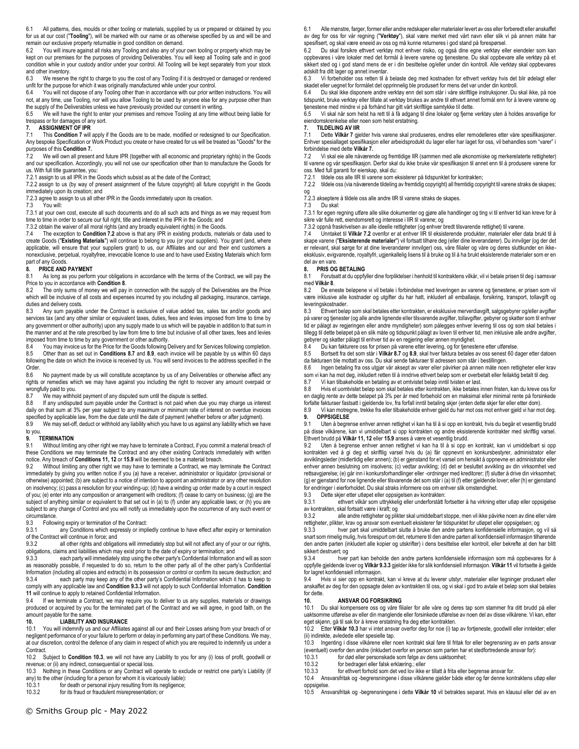6.1 All patterns, dies, moulds or other tooling or materials, supplied by us or prepared or obtained by you for us at our cost ("**Tooling**"), will be marked with our name or as otherwise specified by us and will be and remain our exclusive property returnable in good condition on demand.<br>6.2 You will insure against all risks any Tooling and also any of you

You will insure against all risks any Tooling and also any of your own tooling or property which may be kept on our premises for the purposes of providing Deliverables. You will keep all Tooling safe and in good condition while in your custody and/or under your control. All Tooling will be kept separately from your stock and other inventory.

6.3 We reserve the right to charge to you the cost of any Tooling if it is destroyed or damaged or rendered unfit for the purpose for which it was originally manufactured while under your control.<br>6.4 You will not dispose of any Tooling other than in accordance with our prior writ

You will not dispose of any Tooling other than in accordance with our prior written instructions. You will not, at any time, use Tooling, nor will you allow Tooling to be used by anyone else for any purpose other than the supply of the Deliverables unless we have previously provided our consent in writing.

6.5 We will have the right to enter your premises and remove Tooling at any time without being liable for trespass or for damages of any sort.<br>7. ASSIGNMENT OF IPR

# **7. ASSIGNMENT OF IPR**<br>**7.1** This **Condition 7** will

7.1 This **Condition 7** will apply if the Goods are to be made, modified or redesigned to our Specification. Any bespoke Specification or Work Product you create or have created for us will be treated as "Goods" for the purposes of this **Condition 7.**

 $7.2$  We will own all present and future IPR (together with all economic and proprietary rights) in the Goods and our specification. Accordingly, you will not use our specification other than to manufacture the Goods for us. With full title guarantee, you:

7.2.1 assign to us all IPR in the Goods which subsist as at the date of the Contract;

7.2.2 assign to us (by way of present assignment of the future copyright) all future copyright in the Goods immediately upon its creation; and

7.2.3 agree to assign to us all other IPR in the Goods immediately upon its creation.

7.3 You will:

7.3.1 at your own cost, execute all such documents and do all such acts and things as we may request from time to time in order to secure our full right, title and interest in the IPR in the Goods; and

7.3.2 obtain the waiver of all moral rights (and any broadly equivalent rights) in the Goods.

7.4 The exception to **Condition 7.2** above is that any IPR in existing products, materials or data used to create Goods ("**Existing Materials**") will continue to belong to you (or your suppliers). You grant (and, where<br>applicable, will ensure that your suppliers grant) to us, our Affiliates and our and their end customers a<br>non part of any Goods.

### **8. PRICE AND PAYMENT**

8.1 As long as you perform your obligations in accordance with the terms of the Contract, we will pay the Price to you in accordance with **Condition 8**.

The only sums of money we will pay in connection with the supply of the Deliverables are the Price which will be inclusive of all costs and expenses incurred by you including all packaging, insurance, carriage, duties and delivery costs.

8.3 Any sum payable under the Contract is exclusive of value added tax, sales tax and/or goods and services tax (and any other similar or equivalent taxes, duties, fees and levies imposed from time to time by any government or other authority) upon any supply made to us which will be payable in addition to that sum in the manner and at the rate prescribed by law from time to time but inclusive of all other taxes, fees and levies imposed from time to time by any government or other authority.<br>8.4 You may invoice us for the Price for the Goods following I

8.4 You may invoice us for the Price for the Goods following Delivery and for Services following completion.<br>8.5 Other than as set out in Conditions 8.7 and 8.9, each invoice will be payable by us within 60 days 8.5 Other than as set out in **Conditions 8.7** and **8.9**, each invoice will be payable by us within 60 days following the date on which the invoice is received by us. You will send invoices to the address specified in the Order.<br>8.6

No payment made by us will constitute acceptance by us of any Deliverables or otherwise affect any rights or remedies which we may have against you including the right to recover any amount overpaid or wrongfully paid to you.<br>8.7 We may withhout

We may withhold payment of any disputed sum until the dispute is settled.

8.8 If any undisputed sum payable under the Contract is not paid when due you may charge us interest daily on that sum at 3% per year subject to any maximum or minimum rate of interest on overdue invoices specified by applicable law, from the due date until the date of payment (whether before or after judgment).

8.9 We may set-off, deduct or withhold any liability which you have to us against any liability which we have to you.

### **9. TERMINATION**

9.1 Without limiting any other right we may have to terminate a Contract, if you commit a material breach of these Conditions we may terminate the Contract and any other existing Contracts immediately with written notice. Any breach of **Conditions 11, 12** or **15.9** will be deemed to be a material breach.<br>9.2 Without limiting any other right we may have to terminate a Contract we may te

Without limiting any other right we may have to terminate a Contract, we may terminate the Contract immediately by giving you written notice if you (a) have a receiver, administrator or liquidator (provisional or otherwise) appointed; (b) are subject to a notice of intention to appoint an administrator or any other resolution on insolvency; (c) pass a resolution for your winding-up; (d) have a winding up order made by a court in respect of you; (e) enter into any composition or arrangement with creditors; (f) cease to carry on business; (g) are the subject of anything similar or equivalent to that set out in (a) to (f) under any applicable laws; or (h) you are subject to any change of Control and you will notify us immediately upon the occurrence of any such event or circumstance.<br>9.3 Follow

9.3 Following expiry or termination of the Contract:<br>9.3.1 any Conditions which expressly or implement

any Conditions which expressly or impliedly continue to have effect after expiry or termination of the Contract will continue in force; and<br>9.3.2 all other rights and obligat

all other rights and obligations will immediately stop but will not affect any of your or our rights, obligations, claims and liabilities which may exist prior to the date of expiry or termination; and

9.3.3 each party will immediately stop using the other party's Confidential Information and will as soon as reasonably possible, if requested to do so, return to the other party all of the other party's Confidential Information (including all copies and extracts) in its possession or control or confirm its secure destruction; and<br>9.3.4 each party may keep any of the other party's Confidential Information which it has to keep to each party may keep any of the other party's Confidential Information which it has to keep to

comply with any applicable law and **Condition 9.3.3** will not apply to such Confidential Information. **Condition 11** will continue to apply to retained Confidential Information.

9.4 If we terminate a Contract, we may require you to deliver to us any supplies, materials or drawings produced or acquired by you for the terminated part of the Contract and we will agree, in good faith, on the amount payable for the same.<br>10. LIABILITY AN

# **10. LIABILITY AND INSURANCE**<br>10.1 You will indemnify us and our Affiliates

You will indemnify us and our Affiliates against all our and their Losses arising from your breach of or negligent performance of or your failure to perform or delay in performing any part of these Conditions. We may, at our discretion, control the defence of any claim in respect of which you are required to indemnify us under a Contract.

10.2 Subject to **Condition 10.3**, we will not have any Liability to you for any (i) loss of profit, goodwill or revenue; or (ii) any indirect, consequential or special loss.

10.3 Nothing in these Conditions or any Contract will operate to exclude or restrict one party's Liability (if any) to the other (including for a person for whom it is vicariously liable):

10.3.1 for death or personal injury resulting from its negligence;<br>10.3.2 for its fraud or fraudulent misrepresentation: or

for its fraud or fraudulent misrepresentation; or

6.1 Alle mønstre, farger, former eller andre redskaper eller materialer levert av oss eller forberedt eller anskaffet av deg for oss for vår regning ("**Verktøy**"), skal være merket med vårt navn eller slik vi på annen måte har

spesifisert, og skal være eneeid av oss og må kunne returneres i god stand på forespørsel.<br>6.2. Du skal forsikre ethvert verktøv mot enhver risiko, og også dine egne verktøv ell 6.2 Du skal forsikre ethvert verktøy mot enhver risiko, og også dine egne verktøy eller eiendeler som kan oppbevares i våre lokaler med det formål å levere varene og tjenestene. Du skal oppbevare alle verktøy på et sikkert sted og i god stand mens de er i din besittelse og/eller under din kontroll. Alle verktøy skal oppbevares adskilt fra ditt lager og annet inventar.

6.3 Vi forbeholder oss retten til å belaste deg med kostnaden for ethvert verktøy hvis det blir ødelagt eller skadet eller uegnet for formålet det opprinnelig ble produsert for mens det var under din kontroll.<br>6.4 Du skal ikke disponere andre verktøv enn det som står i våre skriftlige instruksioner. Du

6.4 Du skal ikke disponere andre verktøy enn det som står i våre skriftlige instruksjoner. Du skal ikke, på noe tidspunkt, bruke verktøy eller tillate at verktøy brukes av andre til ethvert annet formål enn for å levere varene og tjenestene med mindre vi på forhånd har gitt vårt skriftlige samtykke til dette.

6.5 Vi skal når som helst ha rett til å få adgang til dine lokaler og fjerne verktøy uten å holdes ansvarlige for eiendomskrenkelse eller noen som helst erstatning.<br>7. TILDELING AV IIR

# **7. TILDELING AV IIR**

7.1 Dette **Vilkår 7** gjelder hvis varene skal produseres, endres eller remodelleres etter våre spesifikasjoner. Enhver spesiallaget spesifikasjon eller arbeidsprodukt du lager eller har laget for oss, vil behandles som "varer" i forbindelse med dette **Vilkår 7.**

7.2 Vi skal eie alle nåværende og fremtidige IIR (sammen med alle økonomiske og merkerelaterte rettigheter) til varene og vår spesifikasjon. Derfor skal du ikke bruke vår spesifikasjon til annet enn til å produsere varene for oss. Med full garanti for eierskap, skal du:

7.2.1 tildele oss alle IIR til varene som eksisterer på tidspunktet for kontrakten;

7.2.2 tildele oss (via nåværende tildeling av fremtidig copyright) all fremtidig copyright til varene straks de skapes;

og 7.2.3 akseptere å tildele oss alle andre IIR til varene straks de skapes.

7.3 Du skal:

7.3.1 for egen regning utføre alle slike dokumenter og gjøre alle handlinger og ting vi til enhver tid kan kreve for å sikre vår fulle rett, eiendomsrett og interesse i IIR til varene; og

7.3.2 oppnå fraskrivelsen av alle ideelle rettigheter (og enhver bredt tilsvarende rettighet) til varene.

7.4 Unntaket til **Vilkår 7.2** ovenfor er at enhver IIR til eksisterende produkter, materialer eller data brukt til å skape varene ("**Eksisterende materialer**") vil fortsatt tilhøre deg (eller dine leverandører). Du innvilger (og der det er relevant, skal sørge for at dine leverandører innvilger) oss, våre filialer og våre og deres sluttkunder en ikke-<br>eksklusiv, evigvarende, royaltyfri, ugjenkallelig lisens til å bruke og til å ha brukt eksisterende mater del av en vare

### **8. PRIS OG BETALING**

8.1 Forutsatt at du oppfyller dine forpliktelser i henhold til kontraktens vilkår, vil vi betale prisen til deg i samsvar med **Vilkår 8**.

8.2 De eneste beløpene vi vil betale i forbindelse med leveringen av varene og tjenestene, er prisen som vil være inklusive alle kostnader og utgifter du har hatt, inkludert all emballasje, forsikring, transport, tollavgift og leveringskostnader.

8.3 Ethvert beløp som skal betales etter kontrakten, er eksklusive merverdiavgift, salgsgebyrer og/eller avgifter på varer og tjenester (og alle andre lignende eller tilsvarende avgifter, tollavgifter, gebyrer og skatter som til enhver tid er pålagt av regjeringen eller andre myndigheter) som pålegges enhver levering til oss og som skal betales i tillegg til dette beløpet på en slik måte og tidspunkt pålagt av loven til enhver tid, men inklusive alle andre avgifter, gebyrer og skatter pålagt til enhver tid av en regjering eller annen myndighet.<br>8.4 Du kan fakturere oss for prisen på varene etter levering, og for tienest

Du kan fakturere oss for prisen på varene etter levering, og for tjenestene etter utførelse.

8.5 Bortsett fra det som står i **Vilkår 8.7** og **8.9**, skal hver faktura betales av oss senest 60 dager etter datoen da fakturaen ble mottatt av oss. Du skal sende fakturaer til adressen som står i bestillingen.

8.6 Ingen betaling fra oss utgjør vår aksept av varer eller påvirker på annen måte noen rettigheter eller krav som vi kan ha mot deg, inkludert retten til å inndrive ethvert beløp som er overbetalt eller feilaktig betalt til deg.

8.7 Vi kan tilbakeholde en betaling av et omtvistet beløp inntil tvisten er løst.<br>8.8 Hvis et unmtvistet beløn som skal betales etter kontrakten, ikke betales i 8.8 Hvis et uomtvistet beløp som skal betales etter kontrakten, ikke betales innen fristen, kan du kreve oss for

en daglig rente av dette beløpet på 3% per år med forbehold om en maksimal eller minimal rente på forsinkede forfalte fakturaer fastsatt i gjeldende lov, fra forfall inntil betaling skjer (enten dette skjer før eller etter dom).

8.9 Vi kan motregne, trekke fra eller tilbakeholde enhver gjeld du har mot oss mot enhver gjeld vi har mot deg. **9. OPPSIGELSE**

9.1 Uten å begrense enhver annen rettighet vi kan ha til å si opp en kontrakt, hvis du begår et vesentlig brudd på disse vilkårene, kan vi umiddelbart si opp kontrakten og andre eksisterende kontrakter med skriftlig varsel. Ethvert brudd på **Vilkår 11, 12** eller **15.9** anses å være et vesentlig brudd.

9.2 Uten å begrense enhver annen rettighet vi kan ha til å si opp en kontrakt, kan vi umiddelbart si opp kontrakten ved å gi deg et skriftlig varsel hvis du (a) får oppnevnt en konkursbestyrer, administrator eller avviklingsleder (midlertidig eller annen); (b) er gjenstand for et varsel om hensikt å oppnevne en administrator eller enhver annen beslutning om insolvens; (c) vedtar avvikling; (d) det er besluttet avvikling av din virksomhet ved rettsavgjørelse; (e) går inn i konkursforhandlinger eller -ordninger med kreditorer; (f) slutter å drive din virksomhet; (g) er gjenstand for noe lignende eller tilsvarende det som står i (a) til (f) etter gjeldende lover; eller (h) er gjenstand for endringer i eierforholdet. Du skal straks informere oss om enhver slik omstendighet.

9.3 Dette skjer etter utløpet eller oppsigelsen av kontrakten:

ethvert vilkår som uttrykkelig eller underforstått fortsetter å ha virkning etter utløp eller oppsigelse av kontrakten, skal fortsatt være i kraft; og

9.3.2 alle andre rettigheter og plikter skal umiddelbart stoppe, men vil ikke påvirke noen av dine eller våre rettigheter, plikter, krav og ansvar som eventuelt eksisterer før tidspunktet for utløpet eller oppsigelsen; og<br>9.3.3. I byer part skal umiddelbart slutte å bruke den andre partens konfidensielle informasion, og

9.3.3 hver part skal umiddelbart slutte å bruke den andre partens konfidensielle informasjon, og vil så snart som rimelig mulig, hvis forespurt om det, returnere til den andre parten all konfidensiell informasjon tilhørende den andre parten (inkludert alle kopier og utskrifter) i dens besittelse eller kontroll, eller bekrefte at den har blitt sikkert destruert; og

9.3.4 hver part kan beholde den andre partens konfidensielle informasjon som må oppbevares for å oppfylle gjeldende lover og **Vilkår 9.3.3** gjelder ikke for slik konfidensiell informasjon. **Vilkår 11** vil fortsette å gjelde for lagret konfidensiell informasjon.<br>9.4 Hyjs vi sier opp en kontrak

Hvis vi sier opp en kontrakt, kan vi kreve at du leverer utstyr, materialer eller tegninger produsert eller anskaffet av deg for den oppsagte delen av kontrakten til oss, og vi skal i god tro avtale et beløp som skal betales for dette.

#### **10. ANSVAR OG FORSIKRING**

10.1 Du skal kompensere oss og våre filialer for alle våre og deres tap som stammer fra ditt brudd på eller uaktsomme utførelse av eller din manglende eller forsinkede utførelse av noen del av disse vilkårene. Vi kan, etter eget skjønn, gå til sak for å kreve erstatning fra deg etter kontrakten.

Etter Vilkår 10.3 har vi intet ansvar overfor deg for noe (i) tap av fortjeneste, goodwill eller inntekter; eller (ii) indirekte, avledede eller spesielle tap.

10.3 Ingenting i disse vilkårene eller noen kontrakt skal føre til fritak for eller begrensning av en parts ansvar (eventuelt) overfor den andre (inkludert overfor en person som parten har et stedfortredende ansvar for):<br>10.3.1 for død eller personskade som følge av dens uaktsomhet:

 $10.3.1$  for død eller personskade som følge av dens uaktsomhet;<br>10.3.2 for bedrageri eller falsk erklæring i eller

10.3.2 for bedrageri eller falsk erklæring.; eller<br>10.3.3 for ethvert forhold som det ved lov ikke

for ethvert forhold som det ved lov ikke er tillatt å frita eller begrense ansvar for.

10.4 Ansvarsfritak og -begrensningene i disse vilkårene gjelder både etter og før denne kontraktens utløp eller oppsigelse.

10.5 Ansvarsfritak og -begrensningene i dette **Vilkår 10** vil betraktes separat. Hvis en klausul eller del av en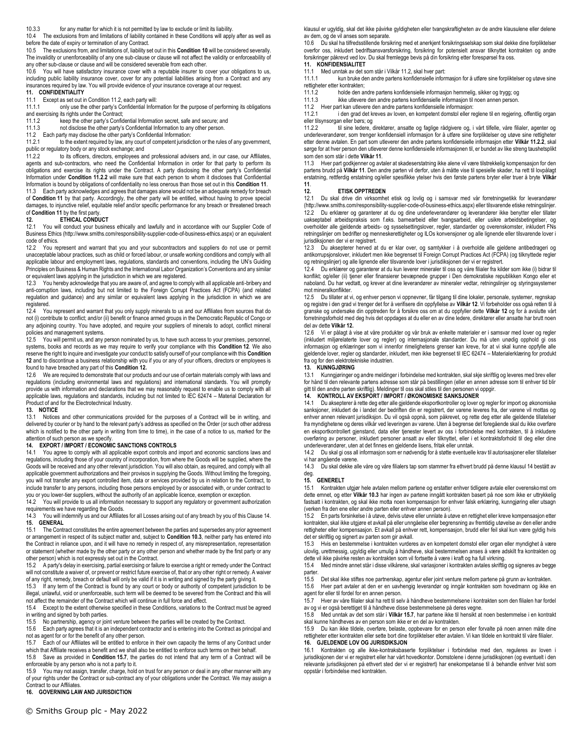10.3.3 for any matter for which it is not permitted by law to exclude or limit its liability.

10.4 The exclusions from and limitations of liability contained in these Conditions will apply after as well as before the date of expiry or termination of any Contract.

10.5 The exclusions from, and limitations of, liability set out in this **Condition 10** will be considered severally. The invalidity or unenforceability of any one sub-clause or clause will not affect the validity or enforceability of any other sub-clause or clause and will be considered severable from each other.

10.6 You will have satisfactory insurance cover with a reputable insurer to cover your obligations to us, including public liability insurance cover, cover for any potential liabilities arising from a Contract and any insurances required by law. You will provide evidence of your insurance coverage at our request.

**11. CONFIDENTIALITY**

11.1 Except as set out in Condition 11.2, each party will:

only use the other party's Confidential Information for the purpose of performing its obligations and exercising its rights under the Contract;<br>11.1.2 keep the other party's Confid

11.1.2 keep the other party's Confidential Information secret, safe and secure; and<br>11.1.3 hot disclose the other party's Confidential Information to any other person.

not disclose the other party's Confidential Information to any other person.

11.2 Each party may disclose the other party's Confidential Information:<br>11.2.1 to the extent required by law, any court of competent jurisdic

to the extent required by law, any court of competent jurisdiction or the rules of any government, public or regulatory body or any stock exchange; and

11.2.2 to its officers, directors, employees and professional advisers and, in our case, our Affiliates,<br>agents and sub-contractors, who need the Confidential Information in order for that party to perform its obligations and exercise its rights under the Contract. A party disclosing the other party's Confidential Information under **Condition 11.2.2** will make sure that each person to whom it discloses that Confidential Information is bound by obligations of confidentiality no less onerous than those set out in this **Condition 11**.

11.3 Each party acknowledges and agrees that damages alone would not be an adequate remedy for breach of **Condition 11** by that party. Accordingly, the other party will be entitled, without having to prove special damages, to injunctive relief, equitable relief and/or specific performance for any breach or threatened breach of **Condition 11** by the first party.<br>12. **ETHICAL CONDU** 

#### **12. ETHICAL CONDUCT**

12.1 You will conduct your business ethically and lawfully and in accordance with our Supplier Code of Business Ethics (http://www.smiths.com/responsibility-supplier-code-of-business-ethics.aspx) or an equivalent code of ethics.

12.2 You represent and warrant that you and your subcontractors and suppliers do not use or permit unacceptable labour practices, such as child or forced labour, or unsafe working conditions and comply with all applicable labour and employment laws, regulations, standards and conventions, including the UN's Guiding Principles on Business & Human Rights and the International Labor Organization's Conventions and any similar or equivalent laws applying in the jurisdiction in which we are registered.

12.3 You hereby acknowledge that you are aware of, and agree to comply with all applicable anti-bribery and anti-corruption laws, including but not limited to the Foreign Corrupt Practices Act (FCPA) (and related regulation and guidance) and any similar or equivalent laws applying in the jurisdiction in which we are registered.

12.4 You represent and warrant that you only supply minerals to us and our Affiliates from sources that do not (i) contribute to conflict; and/or (ii) benefit or finance armed groups in the Democratic Republic of Congo or any adjoining country. You have adopted, and require your suppliers of minerals to adopt, conflict mineral policies and management systems.

12.5 You will permit us, and any person nominated by us, to have such access to your premises, personnel, systems, books and records as we may require to verify your compliance with this **Condition 12**. We also reserve the right to inquire and investigate your conduct to satisfy ourself of your compliance with this **Condition 12** and to discontinue a business relationship with you if you or any of your officers, directors or employees is found to have breached any part of this **Condition 12.** 

12.6 We are required to demonstrate that our products and our use of certain materials comply with laws and regulations (including environmental laws and regulations) and international standards. You will promptly provide us with information and declarations that we may reasonably request to enable us to comply with all applicable laws, regulations and standards, including but not limited to IEC 62474 – Material Declaration for Product of and for the Electrotechnical Industry.

### **13. NOTICE**

13.1 Notices and other communications provided for the purposes of a Contract will be in writing, and delivered by courier or by hand to the relevant party's address as specified on the Order (or such other address which is notified to the other party in writing from time to time), in the case of a notice to us, marked for the attention of such person as we specify.

# **14. EXPORT / IMPORT / ECONOMIC SANCTIONS CONTROLS**<br>**14.1** You agree to comply with all applicable export controls and

You agree to comply with all applicable export controls and import and economic sanctions laws and regulations, including those of your country of incorporation, from where the Goods will be supplied, where the Goods will be received and any other relevant jurisdiction. You will also obtain, as required, and comply with all applicable government authorizations and their provisos in supplying the Goods. Without limiting the foregoing, you will not transfer any export controlled item, data or services provided by us in relation to the Contract, to include transfer to any persons, including those persons employed by or associated with, or under contract to you or you lower-tier suppliers, without the authority of an applicable licence, exemption or exception.<br>14.2 You will provide the use all information poperations of an applicable licence, exemption or exception.

.<br>You will provide to us all information necessary to support any regulatory or government authorization requirements we have regarding the Goods.

14.3 You will indemnify us and our Affiliates for all Losses arising out of any breach by you of this Clause 14. **15. GENERAL**

15.1 The Contract constitutes the entire agreement between the parties and supersedes any prior agreement or arrangement in respect of its subject matter and, subject to **Condition 10.3**, neither party has entered into the Contract in reliance upon, and it will have no remedy in respect of, any misrepresentation, representation or statement (whether made by the other party or any other person and whether made by the first party or any other person) which is not expressly set out in the Contract.

15.2 A party's delay in exercising, partial exercising or failure to exercise a right or remedy under the Contract will not constitute a waiver of, or prevent or restrict future exercise of, that or any other right or remedy. A waiver

of any right, remedy, breach or default will only be valid if it is in writing and signed by the party giving it.<br>15.3 If any term of the Contract is found by any court or body or authority of competent iurisdiction If any term of the Contract is found by any court or body or authority of competent jurisdiction to be illegal, unlawful, void or unenforceable, such term will be deemed to be severed from the Contract and this will not affect the remainder of the Contract which will continue in full force and effect.

15.4 Except to the extent otherwise specified in these Conditions, variations to the Contract must be agreed in writing and signed by both parties.

15.5 No partnership, agency or joint venture between the parties will be created by the Contract. Each party agrees that it is an independent contractor and is entering into the Contract as principal and not as agent for or for the benefit of any other person.

15.7 Each of our Affiliates will be entitled to enforce in their own capacity the terms of any Contract under

which that Affiliate receives a benefit and we shall also be entitled to enforce such terms on their behalf.

15.8 Save as provided in **Condition 15.7**, the parties do not intend that any term of a Contract will be enforceable by any person who is not a party to it.

15.9 You may not assign, transfer, charge, hold on trust for any person or deal in any other manner with any of your rights under the Contract or sub-contract any of your obligations under the Contract. We may assign a Contract to our Affiliates.

**16. GOVERNING LAW AND JURISDICTION**

klausul er ugyldig, skal det ikke påvirke gyldigheten eller tvangskraftigheten av de andre klausulene eller delene av dem, og de vil anses som separate.

10.6 Du skal ha tilfredsstillende forsikring med et anerkjent forsikringsselskap som skal dekke dine forpliktelser overfor oss, inkludert bedriftsansvarsforsikring, forsikring for potensielt ansvar tilknyttet kontrakten og andre forsikringer påkrevd ved lov. Du skal fremlegge bevis på din forsikring etter forespørsel fra oss. **11. KONFIDENSIALITET**

11.1 Med unntak av det som står i Vilkår 11.2, skal hver part:

kun bruke den andre partens konfidensielle informasjon for å utføre sine forpliktelser og utøve sine rettigheter etter kontrakten;<br>11.1.2 holde den a

11.1.2 holde den andre partens konfidensielle informasjon hemmelig, sikker og trygg; og<br>11.1.3 ikke utlevere den andre partens konfidensielle informasjon til noen annen person.

ikke utlevere den andre partens konfidensielle informasjon til noen annen person.

11.2 Hver part kan utlevere den andre partens konfidensielle informasjon:<br>11.2.1 iden grad det kreves av loven, en kompetent domstol eller re

i den grad det kreves av loven, en kompetent domstol eller reglene til en regjering, offentlig organ eller tilsynsorgan eller børs; og<br>11.2.2 til sine ledere.

til sine ledere, direktører, ansatte og faglige rådgivere og, i vårt tilfelle, våre filialer, agenter og underleverandører, som trenger konfidensiell informasjon for å utføre sine forpliktelser og utøve sine rettigheter etter denne avtalen. En part som utleverer den andre partens konfidensielle informasjon etter **Vilkår 11.2.2**, skal sørge for at hver person den utleverer denne konfidensielle informasjonen til, er bundet av like streng taushetsplikt som den som står i dette **Vilkår 11**.

11.3 Hver part godkjenner og avtaler at skadeserstatning ikke alene vil være tilstrekkelig kompensasjon for den partens brudd på **Vilkår 11**. Den andre parten vil derfor, uten å måtte vise til spesielle skader, ha rett til lovpålagt erstatning, rettferdig erstatning og/eller spesifikke ytelser hvis den første partens bryter eller truer å bryte **Vilkår 11**.

### **12. ETISK OPPTREDEN**

12.1 Du skal drive din virksomhet etisk og lovlig og i samsvar med vår forretningsetikk for leverandører (http://www.smiths.com/responsibility-supplier-code-of-business-ethics.aspx) eller tilsvarende etiske retningslinjer. 12.2 Du erklærer og garanterer at du og dine underleverandører og leverandører ikke benytter eller tillater uakseptabel arbeidspraksis som f.eks. barnearbeid eller tvangsarbeid, eller usikre arbeidsbetingelser, og overholder alle gjeldende arbeids- og sysselsettingslover, regler, standarder og overenskomster, inkludert FNs retningslinjer om bedrifter og menneskerettigheter og ILOs konvensjoner og alle lignende eller tilsvarende lover i jurisdiksjonen der vi er registrert.

12.3 Du aksepterer herved at du er klar over, og samtykker i å overholde alle gjeldene antibedrageri og antikorrupsjonslover, inkludert men ikke begrenset til Foreign Corrupt Practices Act (FCPA) (og tilknyttede regler og retningslinjer) og alle lignende eller tilsvarende lover i jurisdiksjonen der vi er registrert.

12.4 Du erklærer og garanterer at du kun leverer mineraler til oss og våre filialer fra kilder som ikke (i) bidrar til konflikt; og/eller (ii) tjener eller finansierer bevæpnede grupper i Den demokratiske republikken Kongo eller et naboland. Du har vedtatt, og krever at dine leverandører av mineraler vedtar, retningslinjer og styringssystemer mot mineralkonflikter.

12.5 Du tillater at vi, og enhver person vi oppnevner, får tilgang til dine lokaler, personale, systemer, regnskap og registre i den grad vi trenger det for å verifisere din oppfyllelse av **Vilkår 12**. Vi forbeholder oss også retten til å granske og undersøke din opptreden for å forsikre oss om at du oppfyller dette **Vilkår 12** og for å avslutte vårt forretningsforhold med deg hvis det oppdages at du eller en av dine ledere, direktører eller ansatte har brutt noen del av dette **Vilkår 12.** 

12.6 Vi er pålagt å vise at våre produkter og vår bruk av enkelte materialer er i samsvar med lover og regler (inkludert miljørelaterte lover og regler) og internasjonale standarder. Du må uten unødig opphold gi oss informasjon og erklæringer som vi innenfor rimelighetens grenser kan kreve, for at vi skal kunne oppfylle alle gjeldende lover, regler og standarder, inkludert, men ikke begrenset til IEC 62474 – Materialerklæring for produkt fra og for den elektrotekniske industrien.

# **13. KUNNGJØRING**

13.1 Kunngjøringer og andre meldinger i forbindelse med kontrakten, skal skje skriftlig og leveres med brev eller for hånd til den relevante partens adresse som står på bestillingen (eller en annen adresse som til enhver tid blir gitt til den andre parten skriftlig). Meldinger til oss skal stiles til den personen vi oppgir.<br>14. KONTROLL AV EKSPORT / IMPORT / ØKONOMISKE SANKSJONER

### **14. KONTROLL AV EKSPORT / IMPORT / ØKONOMISKE SANKSJONER**

14.1 Du aksepterer å rette deg etter alle gjeldende eksportkontroller og lover og regler for import og økonomiske sanksjoner, inkludert de i landet der bedriften din er registrert, der varene leveres fra, der varene vil mottas og enhver annen relevant jurisdiksjon. Du vil også oppnå, som påkrevet, og rette deg etter alle gjeldende tillatelser fra myndighetene og deres vilkår ved leveringen av varene. Uten å begrense det foregående skal du ikke overføre en eksportkontrollert gjenstand, data eller tjenester levert av oss i forbindelse med kontrakten, til å inkludere overføring av personer, inkludert personer ansatt av eller tilknyttet, eller i et kontraktsforhold til deg eller dine underleverandører, uten at det finnes en gjeldende lisens, fritak eller unntak.

14.2 Du skal gi oss all informasjon som er nødvendig for å støtte eventuelle krav til autorisasjoner eller tillatelser vi har angående varene.

14.3 Du skal dekke alle våre og våre filialers tap som stammer fra ethvert brudd på denne klausul 14 bestått av deg.

#### **15. GENERELT**

15.1 Kontrakten utgjør hele avtalen mellom partene og erstatter enhver tidligere avtale eller overenskomst om dette emnet, og etter **Vilkår 10.3** har ingen av partene inngått kontrakten basert på noe som ikke er uttrykkelig fastsatt i kontrakten, og skal ikke motta noen kompensasjon for enhver falsk erklæring, kunngjøring eller utsagn (verken fra den ene eller andre parten eller enhver annen person).

15.2 En parts forsinkelse i å utøve, delvis utøve eller unnlate å utøve en rettighet eller kreve kompensasjon etter kontrakten, skal ikke utgjøre et avkall på eller unngåelse eller begrensning av fremtidig utøvelse av den eller andre rettigheter eller kompensasjon. Et avkall på enhver rett, kompensasjon, brudd eller feil skal kun være gyldig hvis det er skriftlig og signert av parten som gir avkall.

15.3 Hvis en bestemmelse i kontrakten vurderes av en kompetent domstol eller organ eller myndighet å være ulovlig, urettmessig, ugyldig eller umulig å håndheve, skal bestemmelsen anses å være adskilt fra kontrakten og dette vil ikke påvirke resten av kontrakten som vil fortsette å være i kraft og ha full virkning.

15.4 Med mindre annet står i disse vilkårene, skal variasjoner i kontrakten avtales skriftlig og signeres av begge parter.

15.5 Det skal ikke stiftes noe partnerskap, agentur eller joint venture mellom partene på grunn av kontrakten.<br>15.6 Hver part avtaler at den er en uavhengig leverandør og inngår kontrakten som hovedmann og ikke e Hver part avtaler at den er en uavhengig leverandør og inngår kontrakten som hovedmann og ikke en

agent for eller til fordel for en annen person.

15.7 Hver av våre filialer skal ha rett til selv å håndheve bestemmelsene i kontrakten som den filialen har fordel av og vi er også berettiget til å håndheve disse bestemmelsene på deres vegne.

15.8 Med unntak av det som står i **Vilkår 15.7**, har partene ikke til hensikt at noen bestemmelse i en kontrakt skal kunne håndheves av en person som ikke er en del av kontrakten.

Du kan ikke tildele, overføre, belaste, oppbevare for en person eller forvalte på noen annen måte dine rettigheter etter kontrakten eller sette bort dine forpliktelser etter avtalen. Vi kan tildele en kontrakt til våre filialer. **16. GJELDENDE LOV OG JURISDIKSJON**

16.1 Kontrakten og alle ikke-kontraksbaserte forpliktelser i forbindelse med den, reguleres av loven i jurisdiksjonen der vi er registrert eller har vårt hovedkontor. Domstolene i denne jurisdiksjonen (og eventuelt i den relevante jurisdiksjonen på ethvert sted der vi er registrert) har enekompetanse til å behandle enhver tvist som oppstår i forbindelse med kontrakten.